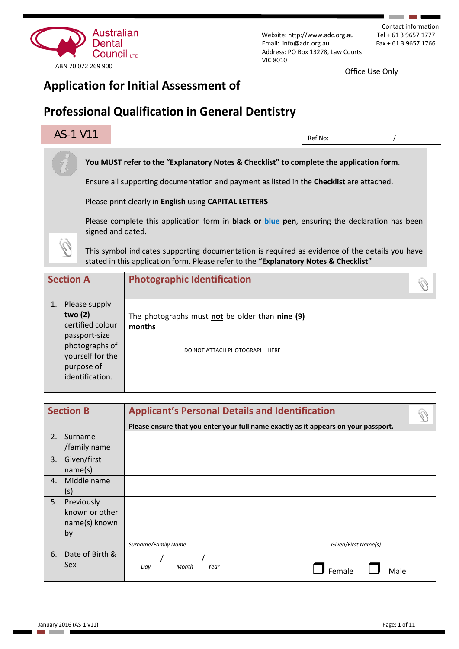

Contact information<br>Tel + 61 3 9657 1777

Office Use Only

# **Professional Qualification in General Dentistry**

# $\overline{\text{AS-1 V11}}$  and  $\overline{\text{RS-1 V11}}$  and  $\overline{\text{RS-1 V11}}$  are  $\overline{\text{RS-1 V11}}$  and  $\overline{\text{RS-1 V11}}$  and  $\overline{\text{RS-1 V11}}$  and  $\overline{\text{RS-1 V11}}$  and  $\overline{\text{RS-1 V11}}$  and  $\overline{\text{RS-1 V11}}$  and  $\overline{\text{RS-1 V11}}$  and  $\overline{\text{RS-1 V11}}$  and

**You MUST refer to the "Explanatory Notes & Checklist" to complete the application form**.

Ensure all supporting documentation and payment as listed in the **Checklist** are attached.

Please print clearly in **English** using **CAPITAL LETTERS**

Please complete this application form in **black or blue pen**, ensuring the declaration has been signed and dated.

This symbol indicates supporting documentation is required as evidence of the details you have stated in this application form. Please refer to the **"Explanatory Notes & Checklist"** 

| <b>Section A</b> |                                                                                                                                      | <b>Photographic Identification</b>                                                         |
|------------------|--------------------------------------------------------------------------------------------------------------------------------------|--------------------------------------------------------------------------------------------|
|                  | Please supply<br>two (2)<br>certified colour<br>passport-size<br>photographs of<br>yourself for the<br>purpose of<br>identification. | The photographs must not be older than nine (9)<br>months<br>DO NOT ATTACH PHOTOGRAPH HERE |

| <b>Section B</b> |                 | <b>Applicant's Personal Details and Identification</b>                              |                     |  |  |
|------------------|-----------------|-------------------------------------------------------------------------------------|---------------------|--|--|
|                  |                 | Please ensure that you enter your full name exactly as it appears on your passport. |                     |  |  |
| 2.               | Surname         |                                                                                     |                     |  |  |
|                  | /family name    |                                                                                     |                     |  |  |
| 3.               | Given/first     |                                                                                     |                     |  |  |
|                  | name(s)         |                                                                                     |                     |  |  |
| 4.               | Middle name     |                                                                                     |                     |  |  |
|                  | (s)             |                                                                                     |                     |  |  |
| 5.               | Previously      |                                                                                     |                     |  |  |
|                  | known or other  |                                                                                     |                     |  |  |
|                  | name(s) known   |                                                                                     |                     |  |  |
|                  | by              |                                                                                     |                     |  |  |
|                  |                 | Surname/Family Name                                                                 | Given/First Name(s) |  |  |
| 6.               | Date of Birth & |                                                                                     |                     |  |  |
|                  | <b>Sex</b>      | Year<br>Month<br>Day                                                                | Female<br>Male      |  |  |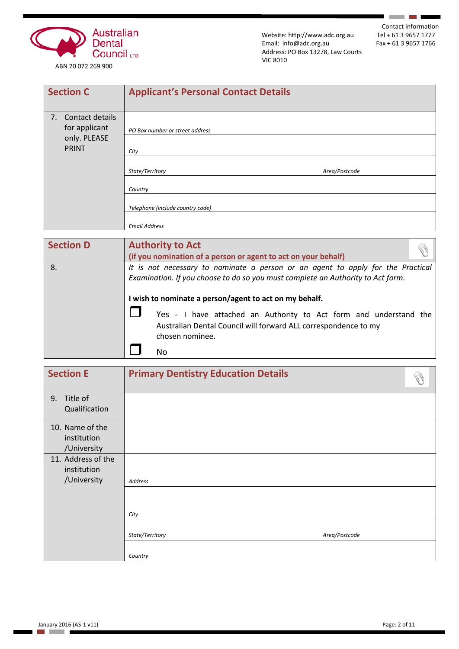

Contact information<br>Tel + 61 3 9657 1777

**Contract Contract** 

7

| <b>Section C</b>                    | <b>Applicant's Personal Contact Details</b> |               |
|-------------------------------------|---------------------------------------------|---------------|
| 7. Contact details<br>for applicant | PO Box number or street address             |               |
| only. PLEASE<br><b>PRINT</b>        | City                                        |               |
|                                     | State/Territory                             | Area/Postcode |
|                                     | Country                                     |               |
|                                     | Telephone (include country code)            |               |
|                                     | <b>Email Address</b>                        |               |

| <b>Section D</b> | <b>Authority to Act</b><br>(if you nomination of a person or agent to act on your behalf)                                                                                                                                    |  |  |  |
|------------------|------------------------------------------------------------------------------------------------------------------------------------------------------------------------------------------------------------------------------|--|--|--|
| 8.               | It is not necessary to nominate a person or an agent to apply for the Practical<br>Examination. If you choose to do so you must complete an Authority to Act form.<br>I wish to nominate a person/agent to act on my behalf. |  |  |  |
|                  | Yes - I have attached an Authority to Act form and understand the<br>Australian Dental Council will forward ALL correspondence to my<br>chosen nominee.<br>No                                                                |  |  |  |

| <b>Section E</b>                                 | <b>Primary Dentistry Education Details</b> |  |
|--------------------------------------------------|--------------------------------------------|--|
| Title of<br>9.<br>Qualification                  |                                            |  |
| 10. Name of the<br>institution<br>/University    |                                            |  |
| 11. Address of the<br>institution<br>/University | Address                                    |  |
|                                                  | City                                       |  |
|                                                  | State/Territory<br>Area/Postcode           |  |
|                                                  | Country                                    |  |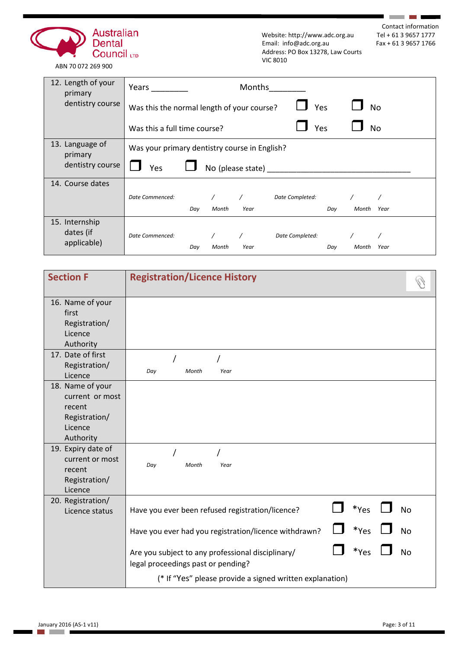

Contact information<br>Tel + 61 3 9657 1777

**Contract Contract** 

ABN 70 072 269 900

| 12. Length of your<br>primary | Years                                         |     |       | <b>Months</b>     |                 |     |       |           |
|-------------------------------|-----------------------------------------------|-----|-------|-------------------|-----------------|-----|-------|-----------|
| dentistry course              | Was this the normal length of your course?    |     |       |                   | Yes             |     |       | <b>No</b> |
|                               | Was this a full time course?                  |     |       |                   | Yes             |     |       | No        |
| 13. Language of<br>primary    | Was your primary dentistry course in English? |     |       |                   |                 |     |       |           |
| dentistry course              | Yes                                           |     |       | No (please state) |                 |     |       |           |
| 14. Course dates              |                                               |     |       |                   |                 |     |       |           |
|                               | Date Commenced:                               |     |       |                   | Date Completed: |     |       |           |
|                               |                                               | Day | Month | Year              |                 | Day | Month | Year      |
| 15. Internship                |                                               |     |       |                   |                 |     |       |           |
| dates (if                     | Date Commenced:                               |     |       |                   | Date Completed: |     |       |           |
| applicable)                   |                                               | Day | Month | Year              |                 | Day | Month | Year      |

| <b>Section F</b>                                                                                                                          | <b>Registration/Licence History</b>                                                                                            |
|-------------------------------------------------------------------------------------------------------------------------------------------|--------------------------------------------------------------------------------------------------------------------------------|
| 16. Name of your<br>first<br>Registration/<br>Licence<br>Authority                                                                        |                                                                                                                                |
| 17. Date of first<br>Registration/<br>Licence                                                                                             | Day<br>Month<br>Year                                                                                                           |
| 18. Name of your<br>current or most<br>recent<br>Registration/<br>Licence<br>Authority<br>19. Expiry date of<br>current or most<br>recent | Day<br>Month<br>Year                                                                                                           |
| Registration/<br>Licence<br>20. Registration/                                                                                             | *Yes<br><b>No</b>                                                                                                              |
| Licence status                                                                                                                            | Have you ever been refused registration/licence?<br>*Yes<br><b>No</b><br>Have you ever had you registration/licence withdrawn? |
|                                                                                                                                           | *Yes<br><b>No</b><br>Are you subject to any professional disciplinary/<br>legal proceedings past or pending?                   |
|                                                                                                                                           | (* If "Yes" please provide a signed written explanation)                                                                       |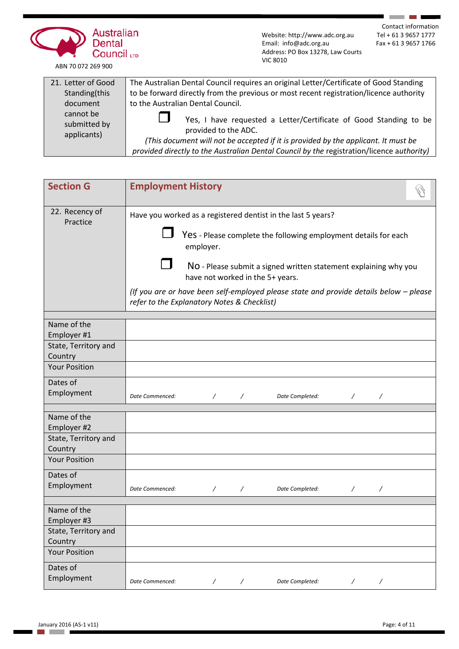

Contact information<br>Tel + 61 3 9657 1777

**Contract Contract** 

| 21. Letter of Good                       | The Australian Dental Council requires an original Letter/Certificate of Good Standing                                                                                                                                                                                       |
|------------------------------------------|------------------------------------------------------------------------------------------------------------------------------------------------------------------------------------------------------------------------------------------------------------------------------|
| Standing(this                            | to be forward directly from the previous or most recent registration/licence authority                                                                                                                                                                                       |
| document                                 | to the Australian Dental Council.                                                                                                                                                                                                                                            |
| cannot be<br>submitted by<br>applicants) | Yes, I have requested a Letter/Certificate of Good Standing to be<br>provided to the ADC.<br>(This document will not be accepted if it is provided by the applicant. It must be<br>provided directly to the Australian Dental Council by the registration/licence authority) |

| <b>Section G</b>                | <b>Employment History</b>                                                                                                             |
|---------------------------------|---------------------------------------------------------------------------------------------------------------------------------------|
| 22. Recency of<br>Practice      | Have you worked as a registered dentist in the last 5 years?                                                                          |
|                                 | Yes - Please complete the following employment details for each<br>employer.                                                          |
|                                 | NO - Please submit a signed written statement explaining why you<br>have not worked in the 5+ years.                                  |
|                                 | (If you are or have been self-employed please state and provide details below - please<br>refer to the Explanatory Notes & Checklist) |
| Name of the                     |                                                                                                                                       |
| Employer #1                     |                                                                                                                                       |
| State, Territory and            |                                                                                                                                       |
| Country                         |                                                                                                                                       |
| <b>Your Position</b>            |                                                                                                                                       |
| Dates of                        |                                                                                                                                       |
| Employment                      | Date Commenced:<br>$\prime$<br>$\prime$<br>Date Completed:                                                                            |
| Name of the                     |                                                                                                                                       |
| Employer #2                     |                                                                                                                                       |
| State, Territory and<br>Country |                                                                                                                                       |
| <b>Your Position</b>            |                                                                                                                                       |
| Dates of                        |                                                                                                                                       |
| Employment                      | Date Commenced:<br>Date Completed:<br>$\prime$<br>$\prime$                                                                            |
| Name of the                     |                                                                                                                                       |
| Employer #3                     |                                                                                                                                       |
| State, Territory and<br>Country |                                                                                                                                       |
| <b>Your Position</b>            |                                                                                                                                       |
| Dates of                        |                                                                                                                                       |
| Employment                      | Date Commenced:<br>Date Completed:<br>$\overline{\phantom{a}}$<br>$\overline{\phantom{a}}$<br>Γ<br>Γ                                  |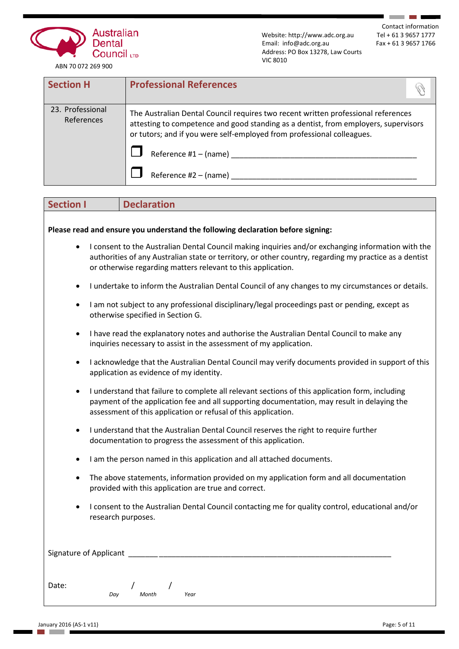

Contact information<br>Tel + 61 3 9657 1777

**Contract Contract** 

| <b>Section H</b>               | <b>Professional References</b>                                                                                                                                                                                                                     |
|--------------------------------|----------------------------------------------------------------------------------------------------------------------------------------------------------------------------------------------------------------------------------------------------|
| 23. Professional<br>References | The Australian Dental Council requires two recent written professional references<br>attesting to competence and good standing as a dentist, from employers, supervisors<br>or tutors; and if you were self-employed from professional colleagues. |
|                                | Reference #1 – (name)                                                                                                                                                                                                                              |
|                                | Reference $#2 - (name)$                                                                                                                                                                                                                            |

| <b>Declaration</b><br><b>Section I</b>                                                                                                                                                                                                                                                    |  |  |  |  |  |
|-------------------------------------------------------------------------------------------------------------------------------------------------------------------------------------------------------------------------------------------------------------------------------------------|--|--|--|--|--|
|                                                                                                                                                                                                                                                                                           |  |  |  |  |  |
| Please read and ensure you understand the following declaration before signing:                                                                                                                                                                                                           |  |  |  |  |  |
| I consent to the Australian Dental Council making inquiries and/or exchanging information with the<br>$\bullet$<br>authorities of any Australian state or territory, or other country, regarding my practice as a dentist<br>or otherwise regarding matters relevant to this application. |  |  |  |  |  |
| I undertake to inform the Australian Dental Council of any changes to my circumstances or details.<br>$\bullet$                                                                                                                                                                           |  |  |  |  |  |
| I am not subject to any professional disciplinary/legal proceedings past or pending, except as<br>$\bullet$<br>otherwise specified in Section G.                                                                                                                                          |  |  |  |  |  |
| I have read the explanatory notes and authorise the Australian Dental Council to make any<br>$\bullet$<br>inquiries necessary to assist in the assessment of my application.                                                                                                              |  |  |  |  |  |
| I acknowledge that the Australian Dental Council may verify documents provided in support of this<br>$\bullet$<br>application as evidence of my identity.                                                                                                                                 |  |  |  |  |  |
| I understand that failure to complete all relevant sections of this application form, including<br>$\bullet$<br>payment of the application fee and all supporting documentation, may result in delaying the<br>assessment of this application or refusal of this application.             |  |  |  |  |  |
| I understand that the Australian Dental Council reserves the right to require further<br>$\bullet$<br>documentation to progress the assessment of this application.                                                                                                                       |  |  |  |  |  |
| I am the person named in this application and all attached documents.<br>$\bullet$                                                                                                                                                                                                        |  |  |  |  |  |
| The above statements, information provided on my application form and all documentation<br>$\bullet$<br>provided with this application are true and correct.                                                                                                                              |  |  |  |  |  |
| I consent to the Australian Dental Council contacting me for quality control, educational and/or<br>$\bullet$<br>research purposes.                                                                                                                                                       |  |  |  |  |  |
| Signature of Applicant                                                                                                                                                                                                                                                                    |  |  |  |  |  |
| Date:<br>Month<br>Day<br>Year                                                                                                                                                                                                                                                             |  |  |  |  |  |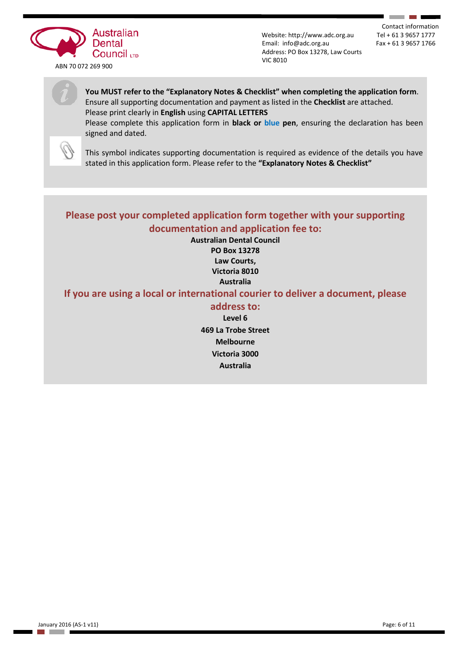

Contact information<br>Tel + 61 3 9657 1777

٠

## **You MUST refer to the "Explanatory Notes & Checklist" when completing the application form**. Ensure all supporting documentation and payment as listed in the **Checklist** are attached. Please print clearly in **English** using **CAPITAL LETTERS**

Please complete this application form in **black or blue pen**, ensuring the declaration has been signed and dated.



This symbol indicates supporting documentation is required as evidence of the details you have stated in this application form. Please refer to the **"Explanatory Notes & Checklist"**

# **Please post your completed application form together with your supporting documentation and application fee to:**

**Australian Dental Council PO Box 13278 Law Courts, Victoria 8010 Australia**

# **If you are using a local or international courier to deliver a document, please**

## **address to:**

**Level 6 469 La Trobe Street Melbourne Victoria 3000 Australia**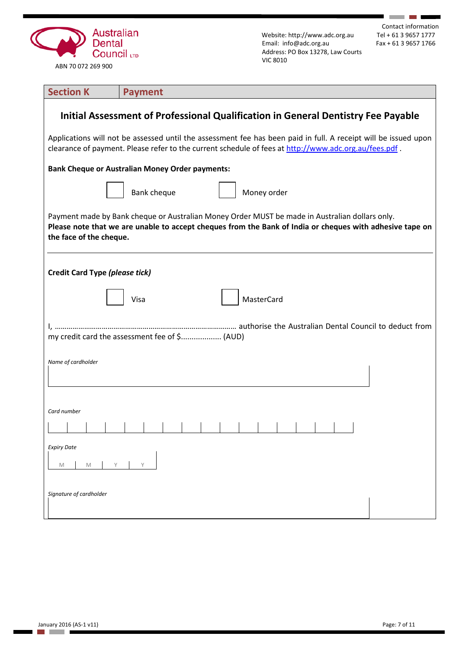

Contact information<br>Tel + 61 3 9657 1777

**Contract Contract** 

7

| <b>Section K</b>                                                                                                                                                                                                                      | <b>Payment</b>             |  |  |  |
|---------------------------------------------------------------------------------------------------------------------------------------------------------------------------------------------------------------------------------------|----------------------------|--|--|--|
| Initial Assessment of Professional Qualification in General Dentistry Fee Payable                                                                                                                                                     |                            |  |  |  |
| Applications will not be assessed until the assessment fee has been paid in full. A receipt will be issued upon<br>clearance of payment. Please refer to the current schedule of fees at http://www.adc.org.au/fees.pdf.              |                            |  |  |  |
| <b>Bank Cheque or Australian Money Order payments:</b>                                                                                                                                                                                |                            |  |  |  |
|                                                                                                                                                                                                                                       | Bank cheque<br>Money order |  |  |  |
| Payment made by Bank cheque or Australian Money Order MUST be made in Australian dollars only.<br>Please note that we are unable to accept cheques from the Bank of India or cheques with adhesive tape on<br>the face of the cheque. |                            |  |  |  |
| <b>Credit Card Type (please tick)</b>                                                                                                                                                                                                 |                            |  |  |  |
|                                                                                                                                                                                                                                       | <b>MasterCard</b><br>Visa  |  |  |  |
| my credit card the assessment fee of \$ (AUD)                                                                                                                                                                                         |                            |  |  |  |
| Name of cardholder                                                                                                                                                                                                                    |                            |  |  |  |
| Card number                                                                                                                                                                                                                           |                            |  |  |  |
|                                                                                                                                                                                                                                       |                            |  |  |  |
| <b>Expiry Date</b><br>M<br>M                                                                                                                                                                                                          | Υ                          |  |  |  |
| Signature of cardholder                                                                                                                                                                                                               |                            |  |  |  |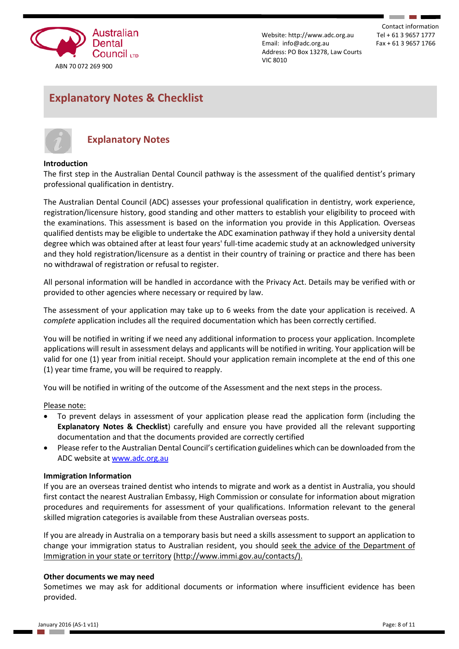

Contact information

# **Explanatory Notes & Checklist**



# **Explanatory Notes**

## **Introduction**

The first step in the Australian Dental Council pathway is the assessment of the qualified dentist's primary professional qualification in dentistry.

The Australian Dental Council (ADC) assesses your professional qualification in dentistry, work experience, registration/licensure history, good standing and other matters to establish your eligibility to proceed with the examinations. This assessment is based on the information you provide in this Application*.* Overseas qualified dentists may be eligible to undertake the ADC examination pathway if they hold a university dental degree which was obtained after at least four years' full-time academic study at an acknowledged university and they hold registration/licensure as a dentist in their country of training or practice and there has been no withdrawal of registration or refusal to register.

All personal information will be handled in accordance with the Privacy Act. Details may be verified with or provided to other agencies where necessary or required by law.

The assessment of your application may take up to 6 weeks from the date your application is received. A *complete* application includes all the required documentation which has been correctly certified.

You will be notified in writing if we need any additional information to process your application. Incomplete applications will result in assessment delays and applicants will be notified in writing. Your application will be valid for one (1) year from initial receipt. Should your application remain incomplete at the end of this one (1) year time frame, you will be required to reapply.

You will be notified in writing of the outcome of the Assessment and the next steps in the process.

#### Please note:

- To prevent delays in assessment of your application please read the application form (including the **Explanatory Notes & Checklist**) carefully and ensure you have provided all the relevant supporting documentation and that the documents provided are correctly certified
- Please refer to the Australian Dental Council's certification guidelines which can be downloaded from the ADC website at [www.adc.org.au](http://www.adc.org.au/)

#### **Immigration Information**

If you are an overseas trained dentist who intends to migrate and work as a dentist in Australia, you should first contact the nearest Australian Embassy, High Commission or consulate for information about migration procedures and requirements for assessment of your qualifications. Information relevant to the general skilled migration categories is available from these Australian overseas posts.

If you are already in Australia on a temporary basis but need a skills assessment to support an application to change your immigration status to Australian resident, you should seek the advice of the Department of Immigration in your state or territory (http://www.immi.gov.au/contacts/).

#### **Other documents we may need**

Sometimes we may ask for additional documents or information where insufficient evidence has been provided.

a a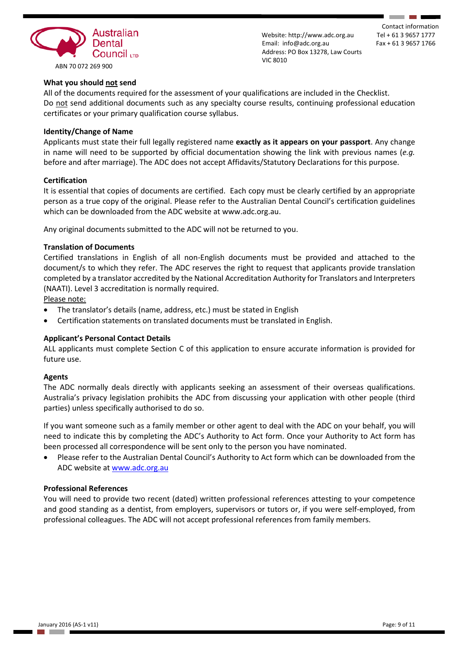

Contact information

## **What you should not send**

All of the documents required for the assessment of your qualifications are included in the Checklist. Do not send additional documents such as any specialty course results, continuing professional education certificates or your primary qualification course syllabus.

### **Identity/Change of Name**

Applicants must state their full legally registered name **exactly as it appears on your passport**. Any change in name will need to be supported by official documentation showing the link with previous names (*e.g.* before and after marriage). The ADC does not accept Affidavits/Statutory Declarations for this purpose.

#### **Certification**

It is essential that copies of documents are certified. Each copy must be clearly certified by an appropriate person as a true copy of the original. Please refer to the Australian Dental Council's certification guidelines which can be downloaded from the ADC website at www.adc.org.au.

Any original documents submitted to the ADC will not be returned to you.

#### **Translation of Documents**

Certified translations in English of all non-English documents must be provided and attached to the document/s to which they refer. The ADC reserves the right to request that applicants provide translation completed by a translator accredited by the National Accreditation Authority for Translators and Interpreters (NAATI). Level 3 accreditation is normally required.

Please note:

- The translator's details (name, address, etc.) must be stated in English
- Certification statements on translated documents must be translated in English.

## **Applicant's Personal Contact Details**

ALL applicants must complete Section C of this application to ensure accurate information is provided for future use.

#### **Agents**

The ADC normally deals directly with applicants seeking an assessment of their overseas qualifications. Australia's privacy legislation prohibits the ADC from discussing your application with other people (third parties) unless specifically authorised to do so.

If you want someone such as a family member or other agent to deal with the ADC on your behalf, you will need to indicate this by completing the ADC's Authority to Act form. Once your Authority to Act form has been processed all correspondence will be sent only to the person you have nominated.

• Please refer to the Australian Dental Council's Authority to Act form which can be downloaded from the ADC website at [www.adc.org.au](http://www.adc.org.au/)

## **Professional References**

You will need to provide two recent (dated) written professional references attesting to your competence and good standing as a dentist, from employers, supervisors or tutors or, if you were self-employed, from professional colleagues. The ADC will not accept professional references from family members.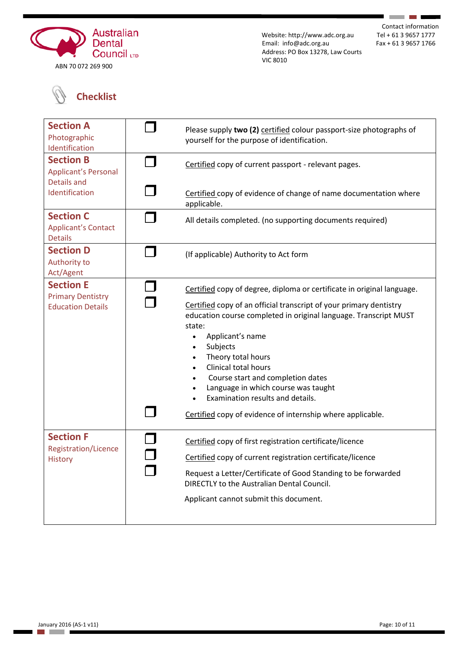

Contact information<br>Tel + 61 3 9657 1777

**Contract Contract** 

# **Checklist**

| <b>Section A</b><br>Photographic<br>Identification                       | Please supply two (2) certified colour passport-size photographs of<br>yourself for the purpose of identification.                                                                                                                                                                                                                                                                                                                                                                     |
|--------------------------------------------------------------------------|----------------------------------------------------------------------------------------------------------------------------------------------------------------------------------------------------------------------------------------------------------------------------------------------------------------------------------------------------------------------------------------------------------------------------------------------------------------------------------------|
| <b>Section B</b><br><b>Applicant's Personal</b><br><b>Details and</b>    | Certified copy of current passport - relevant pages.                                                                                                                                                                                                                                                                                                                                                                                                                                   |
| Identification                                                           | Certified copy of evidence of change of name documentation where<br>applicable.                                                                                                                                                                                                                                                                                                                                                                                                        |
| <b>Section C</b><br><b>Applicant's Contact</b><br><b>Details</b>         | All details completed. (no supporting documents required)                                                                                                                                                                                                                                                                                                                                                                                                                              |
| <b>Section D</b><br>Authority to<br>Act/Agent                            | (If applicable) Authority to Act form                                                                                                                                                                                                                                                                                                                                                                                                                                                  |
| <b>Section E</b><br><b>Primary Dentistry</b><br><b>Education Details</b> | Certified copy of degree, diploma or certificate in original language.<br>Certified copy of an official transcript of your primary dentistry<br>education course completed in original language. Transcript MUST<br>state:<br>Applicant's name<br>Subjects<br>Theory total hours<br>Clinical total hours<br>Course start and completion dates<br>Language in which course was taught<br>Examination results and details.<br>Certified copy of evidence of internship where applicable. |
| <b>Section F</b><br><b>Registration/Licence</b><br><b>History</b>        | Certified copy of first registration certificate/licence<br>Certified copy of current registration certificate/licence<br>Request a Letter/Certificate of Good Standing to be forwarded<br>DIRECTLY to the Australian Dental Council.<br>Applicant cannot submit this document.                                                                                                                                                                                                        |